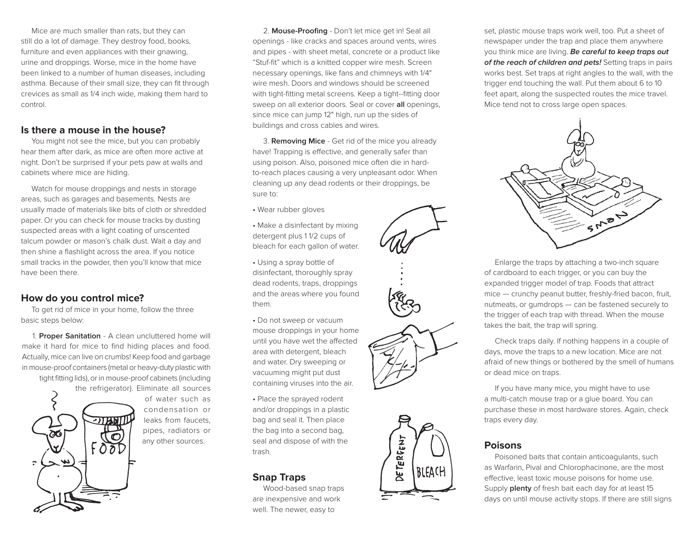Mice are much smaller than rats, but they can still do a lot of damage. They destroy food, books, furniture and even appliances with their gnawing, urine and droppings. Worse, mice in the home have been linked to a number of human diseases, including asthma. Because of their small size, they can fit through crevices as small as 1/4 inch wide, making them hard to control.

## **Is there a mouse in the house?**

You might not see the mice, but you can probably hear them after dark, as mice are often more active at night. Don't be surprised if your pets paw at walls and cabinets where mice are hiding.

Watch for mouse droppings and nests in storage areas, such as garages and basements. Nests are usually made of materials like bits of cloth or shredded paper. Or you can check for mouse tracks by dusting suspected areas with a light coating of unscented talcum powder or mason's chalk dust. Wait a day and then shine a flashlight across the area. If you notice small tracks in the powder, then you'll know that mice have been there.

# **How do you control mice?**

To get rid of mice in your home, follow the three basic steps below:

1. **Proper Sanitation** - A clean uncluttered home will make it hard for mice to find hiding places and food. Actually, mice can live on crumbs! Keep food and garbage in mouse-proof containers (metal or heavy-duty plastic with tight fitting lids), or in mouse-proof cabinets (including the refrigerator). Eliminate all sources



of water such as condensation or leaks from faucets, pipes, radiators or any other sources.

2. **Mouse-Proofing** - Don't let mice get in! Seal all openings - like cracks and spaces around vents, wires and pipes - with sheet metal, concrete or a product like "Stuf-fit" which is a knitted copper wire mesh. Screen necessary openings, like fans and chimneys with 1/4" wire mesh. Doors and windows should be screened with tight-fitting metal screens. Keep a tight--fitting door sweep on all exterior doors. Seal or cover **all** openings, since mice can jump 12" high, run up the sides of buildings and cross cables and wires.

3. **Removing Mice** - Get rid of the mice you already have! Trapping is effective, and generally safer than using poison. Also, poisoned mice often die in hardto-reach places causing a very unpleasant odor. When cleaning up any dead rodents or their droppings, be sure to:

- Wear rubber gloves
- Make a disinfectant by mixing detergent plus 1 1/2 cups of bleach for each gallon of water.
- Using a spray bottle of disinfectant, thoroughly spray dead rodents, traps, droppings and the areas where you found them.
- Do not sweep or vacuum mouse droppings in your home until you have wet the affected area with detergent, bleach and water. Dry sweeping or vacuuming might put dust containing viruses into the air.
- Place the sprayed rodent and/or droppings in a plastic bag and seal it. Then place the bag into a second bag, seal and dispose of with the trash.

# **Snap Traps**

Wood-based snap traps are inexpensive and work well. The newer, easy to

set, plastic mouse traps work well, too. Put a sheet of newspaper under the trap and place them anywhere you think mice are living. **Be careful to keep traps out of the reach of children and pets!** Setting traps in pairs works best. Set traps at right angles to the wall, with the trigger end touching the wall. Put them about 6 to 10 feet apart, along the suspected routes the mice travel. Mice tend not to cross large open spaces.



Enlarge the traps by attaching a two-inch square of cardboard to each trigger, or you can buy the expanded trigger model of trap. Foods that attract mice — crunchy peanut butter, freshly-fried bacon, fruit, nutmeats, or gumdrops — can be fastened securely to the trigger of each trap with thread. When the mouse takes the bait, the trap will spring.

Check traps daily. If nothing happens in a couple of days, move the traps to a new location. Mice are not afraid of new things or bothered by the smell of humans or dead mice on traps.

If you have many mice, you might have to use a multi-catch mouse trap or a glue board. You can purchase these in most hardware stores. Again, check traps every day.

### **Poisons**

Poisoned baits that contain anticoagulants, such as Warfarin, Pival and Chlorophacinone, are the most effective, least toxic mouse poisons for home use. Supply **plenty** of fresh bait each day for at least 15 days on until mouse activity stops. If there are still signs